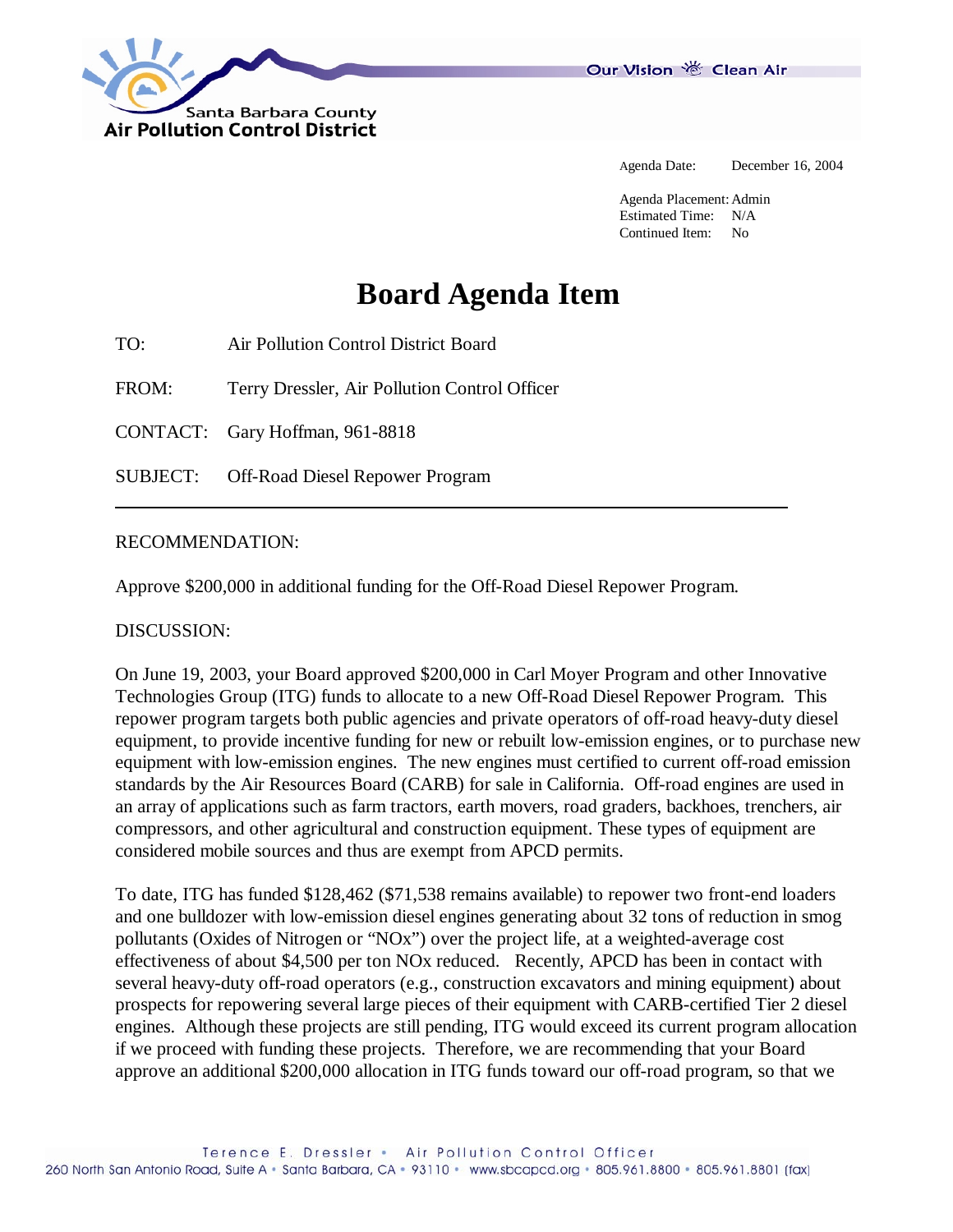

Our Vision 卷 Clean Air

Agenda Date: December 16, 2004

Agenda Placement: Admin Estimated Time: N/A Continued Item: No

## **Board Agenda Item**

TO: Air Pollution Control District Board

FROM: Terry Dressler, Air Pollution Control Officer

CONTACT: Gary Hoffman, 961-8818

SUBJECT: Off-Road Diesel Repower Program

## RECOMMENDATION:

Approve \$200,000 in additional funding for the Off-Road Diesel Repower Program.

## DISCUSSION:

On June 19, 2003, your Board approved \$200,000 in Carl Moyer Program and other Innovative Technologies Group (ITG) funds to allocate to a new Off-Road Diesel Repower Program. This repower program targets both public agencies and private operators of off-road heavy-duty diesel equipment, to provide incentive funding for new or rebuilt low-emission engines, or to purchase new equipment with low-emission engines. The new engines must certified to current off-road emission standards by the Air Resources Board (CARB) for sale in California. Off-road engines are used in an array of applications such as farm tractors, earth movers, road graders, backhoes, trenchers, air compressors, and other agricultural and construction equipment. These types of equipment are considered mobile sources and thus are exempt from APCD permits.

To date, ITG has funded \$128,462 (\$71,538 remains available) to repower two front-end loaders and one bulldozer with low-emission diesel engines generating about 32 tons of reduction in smog pollutants (Oxides of Nitrogen or "NOx") over the project life, at a weighted-average cost effectiveness of about \$4,500 per ton NOx reduced. Recently, APCD has been in contact with several heavy-duty off-road operators (e.g., construction excavators and mining equipment) about prospects for repowering several large pieces of their equipment with CARB-certified Tier 2 diesel engines. Although these projects are still pending, ITG would exceed its current program allocation if we proceed with funding these projects. Therefore, we are recommending that your Board approve an additional \$200,000 allocation in ITG funds toward our off-road program, so that we